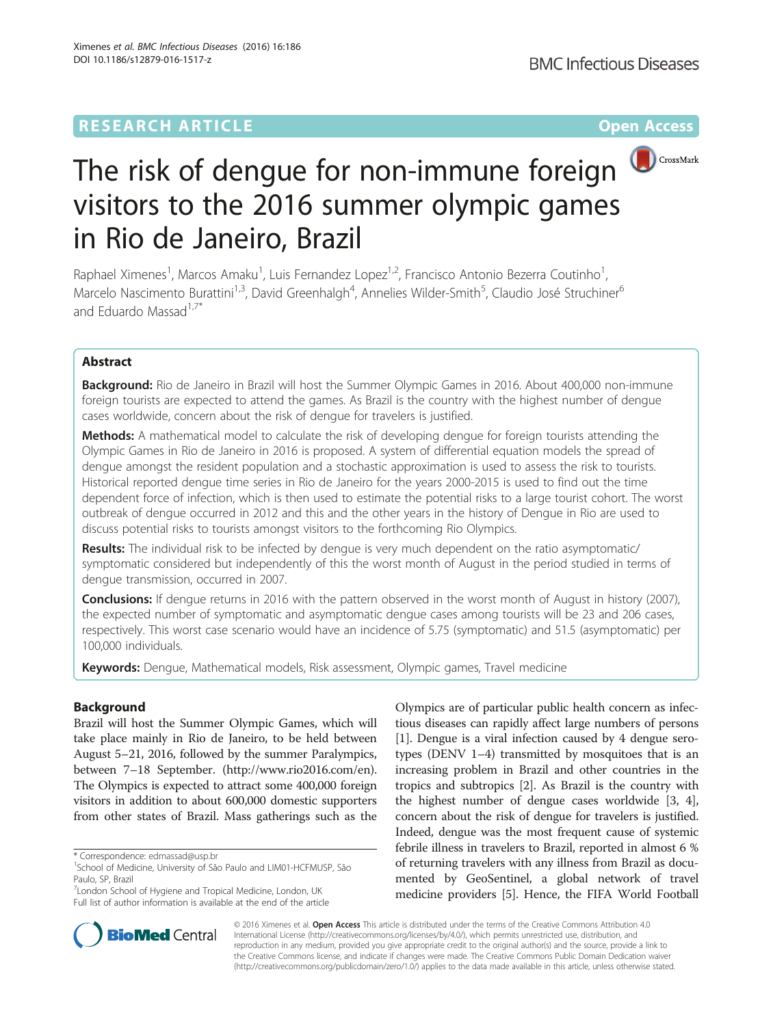# **RESEARCH ARTICLE Example 2018 12:00 THE Open Access**



# The risk of dengue for non-immune foreign  $\bigcirc$  CrossMark visitors to the 2016 summer olympic games in Rio de Janeiro, Brazil

Raphael Ximenes<sup>1</sup>, Marcos Amaku<sup>1</sup>, Luis Fernandez Lopez<sup>1,2</sup>, Francisco Antonio Bezerra Coutinho<sup>1</sup> , Marcelo Nascimento Burattini<sup>1,3</sup>, David Greenhalgh<sup>4</sup>, Annelies Wilder-Smith<sup>5</sup>, Claudio José Struchiner<sup>6</sup> and Eduardo Massad $1.7*$ 

# Abstract

**Background:** Rio de Janeiro in Brazil will host the Summer Olympic Games in 2016. About 400,000 non-immune foreign tourists are expected to attend the games. As Brazil is the country with the highest number of dengue cases worldwide, concern about the risk of dengue for travelers is justified.

Methods: A mathematical model to calculate the risk of developing dengue for foreign tourists attending the Olympic Games in Rio de Janeiro in 2016 is proposed. A system of differential equation models the spread of dengue amongst the resident population and a stochastic approximation is used to assess the risk to tourists. Historical reported dengue time series in Rio de Janeiro for the years 2000-2015 is used to find out the time dependent force of infection, which is then used to estimate the potential risks to a large tourist cohort. The worst outbreak of dengue occurred in 2012 and this and the other years in the history of Dengue in Rio are used to discuss potential risks to tourists amongst visitors to the forthcoming Rio Olympics.

Results: The individual risk to be infected by dengue is very much dependent on the ratio asymptomatic/ symptomatic considered but independently of this the worst month of August in the period studied in terms of dengue transmission, occurred in 2007.

**Conclusions:** If dengue returns in 2016 with the pattern observed in the worst month of August in history (2007), the expected number of symptomatic and asymptomatic dengue cases among tourists will be 23 and 206 cases, respectively. This worst case scenario would have an incidence of 5.75 (symptomatic) and 51.5 (asymptomatic) per 100,000 individuals.

Keywords: Dengue, Mathematical models, Risk assessment, Olympic games, Travel medicine

# Background

Brazil will host the Summer Olympic Games, which will take place mainly in Rio de Janeiro, to be held between August 5–21, 2016, followed by the summer Paralympics, between 7–18 September. (<http://www.rio2016.com/en>). The Olympics is expected to attract some 400,000 foreign visitors in addition to about 600,000 domestic supporters from other states of Brazil. Mass gatherings such as the

<sup>&</sup>lt;sup>7</sup> London School of Hygiene and Tropical Medicine, London, UK Full list of author information is available at the end of the article





© 2016 Ximenes et al. Open Access This article is distributed under the terms of the Creative Commons Attribution 4.0 International License [\(http://creativecommons.org/licenses/by/4.0/](http://creativecommons.org/licenses/by/4.0/)), which permits unrestricted use, distribution, and reproduction in any medium, provided you give appropriate credit to the original author(s) and the source, provide a link to the Creative Commons license, and indicate if changes were made. The Creative Commons Public Domain Dedication waiver [\(http://creativecommons.org/publicdomain/zero/1.0/](http://creativecommons.org/publicdomain/zero/1.0/)) applies to the data made available in this article, unless otherwise stated.

<sup>\*</sup> Correspondence: [edmassad@usp.br](mailto:edmassad@usp.br) <sup>1</sup>

<sup>&</sup>lt;sup>1</sup>School of Medicine, University of São Paulo and LIM01-HCFMUSP, São Paulo, SP, Brazil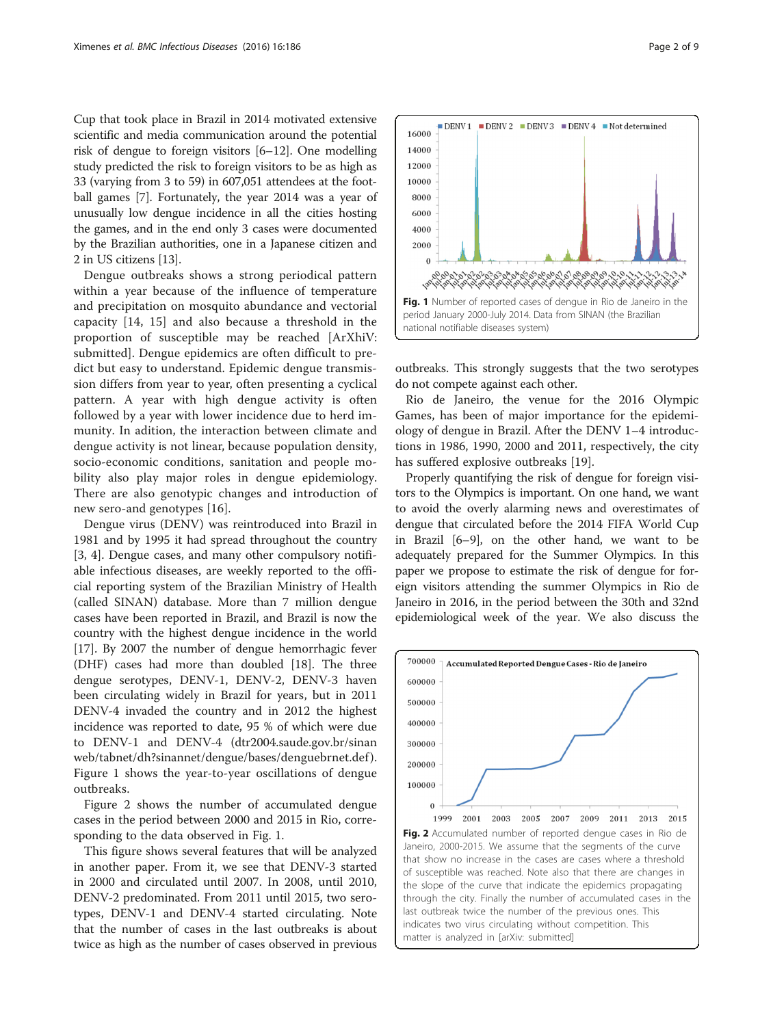<span id="page-1-0"></span>Cup that took place in Brazil in 2014 motivated extensive scientific and media communication around the potential risk of dengue to foreign visitors [[6](#page-8-0)–[12](#page-8-0)]. One modelling study predicted the risk to foreign visitors to be as high as 33 (varying from 3 to 59) in 607,051 attendees at the football games [\[7](#page-8-0)]. Fortunately, the year 2014 was a year of unusually low dengue incidence in all the cities hosting the games, and in the end only 3 cases were documented by the Brazilian authorities, one in a Japanese citizen and 2 in US citizens [[13\]](#page-8-0).

Dengue outbreaks shows a strong periodical pattern within a year because of the influence of temperature and precipitation on mosquito abundance and vectorial capacity [\[14](#page-8-0), [15](#page-8-0)] and also because a threshold in the proportion of susceptible may be reached [ArXhiV: submitted]. Dengue epidemics are often difficult to predict but easy to understand. Epidemic dengue transmission differs from year to year, often presenting a cyclical pattern. A year with high dengue activity is often followed by a year with lower incidence due to herd immunity. In adition, the interaction between climate and dengue activity is not linear, because population density, socio-economic conditions, sanitation and people mobility also play major roles in dengue epidemiology. There are also genotypic changes and introduction of new sero-and genotypes [[16\]](#page-8-0).

Dengue virus (DENV) was reintroduced into Brazil in 1981 and by 1995 it had spread throughout the country [[3, 4](#page-7-0)]. Dengue cases, and many other compulsory notifiable infectious diseases, are weekly reported to the official reporting system of the Brazilian Ministry of Health (called SINAN) database. More than 7 million dengue cases have been reported in Brazil, and Brazil is now the country with the highest dengue incidence in the world [[17\]](#page-8-0). By 2007 the number of dengue hemorrhagic fever (DHF) cases had more than doubled [\[18](#page-8-0)]. The three dengue serotypes, DENV-1, DENV-2, DENV-3 haven been circulating widely in Brazil for years, but in 2011 DENV-4 invaded the country and in 2012 the highest incidence was reported to date, 95 % of which were due to DENV-1 and DENV-4 (dtr2004.saude.gov.br/sinan web/tabnet/dh?sinannet/dengue/bases/denguebrnet.def ). Figure 1 shows the year-to-year oscillations of dengue outbreaks.

Figure 2 shows the number of accumulated dengue cases in the period between 2000 and 2015 in Rio, corresponding to the data observed in Fig. 1.

This figure shows several features that will be analyzed in another paper. From it, we see that DENV-3 started in 2000 and circulated until 2007. In 2008, until 2010, DENV-2 predominated. From 2011 until 2015, two serotypes, DENV-1 and DENV-4 started circulating. Note that the number of cases in the last outbreaks is about twice as high as the number of cases observed in previous



outbreaks. This strongly suggests that the two serotypes do not compete against each other.

Rio de Janeiro, the venue for the 2016 Olympic Games, has been of major importance for the epidemiology of dengue in Brazil. After the DENV 1–4 introductions in 1986, 1990, 2000 and 2011, respectively, the city has suffered explosive outbreaks [[19\]](#page-8-0).

Properly quantifying the risk of dengue for foreign visitors to the Olympics is important. On one hand, we want to avoid the overly alarming news and overestimates of dengue that circulated before the 2014 FIFA World Cup in Brazil [\[6](#page-8-0)–[9](#page-8-0)], on the other hand, we want to be adequately prepared for the Summer Olympics. In this paper we propose to estimate the risk of dengue for foreign visitors attending the summer Olympics in Rio de Janeiro in 2016, in the period between the 30th and 32nd epidemiological week of the year. We also discuss the

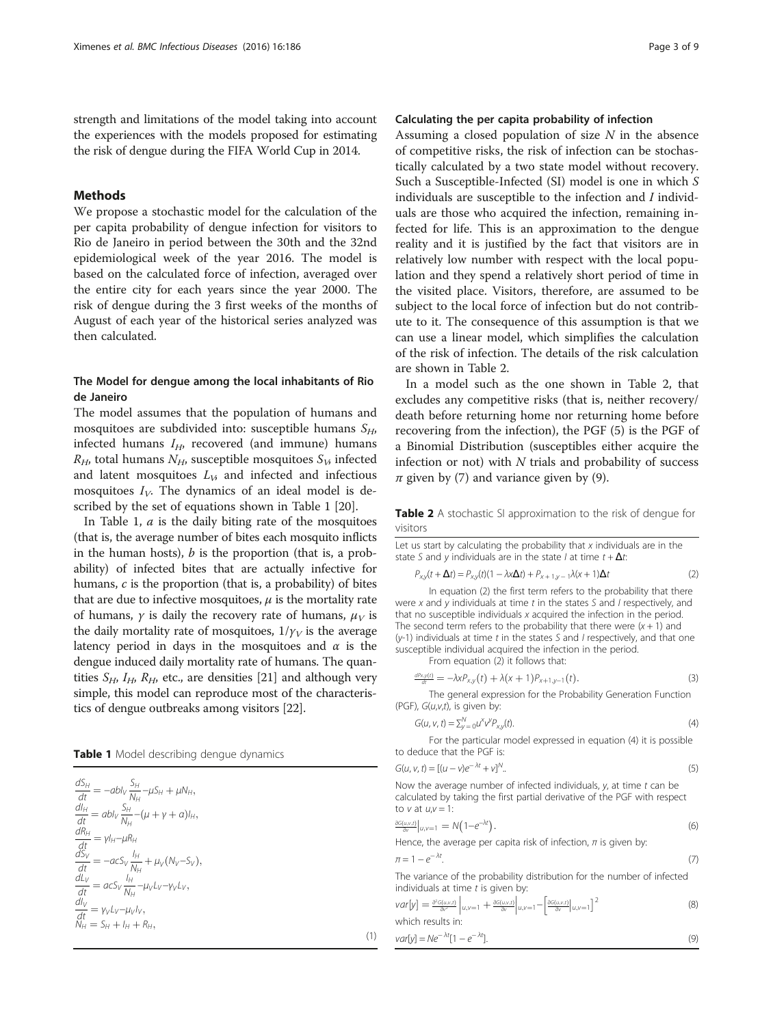strength and limitations of the model taking into account the experiences with the models proposed for estimating the risk of dengue during the FIFA World Cup in 2014.

## Methods

We propose a stochastic model for the calculation of the per capita probability of dengue infection for visitors to Rio de Janeiro in period between the 30th and the 32nd epidemiological week of the year 2016. The model is based on the calculated force of infection, averaged over the entire city for each years since the year 2000. The risk of dengue during the 3 first weeks of the months of August of each year of the historical series analyzed was then calculated.

## The Model for dengue among the local inhabitants of Rio de Janeiro

The model assumes that the population of humans and mosquitoes are subdivided into: susceptible humans  $S_H$ , infected humans  $I_H$ , recovered (and immune) humans  $R_H$ , total humans  $N_H$ , susceptible mosquitoes  $S_V$ , infected and latent mosquitoes  $L<sub>V</sub>$ , and infected and infectious mosquitoes  $I_V$ . The dynamics of an ideal model is described by the set of equations shown in Table 1 [[20\]](#page-8-0).

In Table 1,  $a$  is the daily biting rate of the mosquitoes (that is, the average number of bites each mosquito inflicts in the human hosts),  $b$  is the proportion (that is, a probability) of infected bites that are actually infective for humans, c is the proportion (that is, a probability) of bites that are due to infective mosquitoes,  $\mu$  is the mortality rate of humans,  $\gamma$  is daily the recovery rate of humans,  $\mu_V$  is the daily mortality rate of mosquitoes,  $1/\gamma_V$  is the average latency period in days in the mosquitoes and  $\alpha$  is the dengue induced daily mortality rate of humans. The quantities  $S_H$ ,  $I_H$ ,  $R_H$ , etc., are densities [\[21\]](#page-8-0) and although very simple, this model can reproduce most of the characteristics of dengue outbreaks among visitors [[22\]](#page-8-0).

Table 1 Model describing dengue dynamics

 $\frac{dS_H}{dt} = -abI_V \frac{S_H}{N_H}$  $\frac{\partial H}{\partial H} - \mu S_H + \mu N_H,$  $\frac{dl_H}{dt} = abI_V \frac{S_H}{N_H}$  $\frac{\partial H}{\partial H} - (\mu + \gamma + a)I_H$  $\frac{dR_H}{dt} = \gamma l_H - \mu R_H$ <br>  $\frac{dS_V}{dt} = -acS_V \frac{l_H}{N_H}$  $\frac{dL_V}{dt} = acS_V \frac{N_H}{N_H}$  $\mu_{H}$   $\mu_{H}$ <br>  $\mu_{H} = \gamma h_{H} - \mu R_{H}$ <br>  $\mu_{H} = -acS_{V} \frac{h_{H}}{N_{H}} + \mu_{V} (N_{V} - S_{V}),$ <br>  $\mu_{H} = acS_{V} \frac{h_{H}}{N_{H}} - \mu_{V} L_{V} - \gamma_{V} L_{V},$  $\frac{1}{N_H}-\mu_V L_V-\gamma_V L_V,$  $\frac{dl_V}{dt} = \gamma_V L_V - \mu_V l_V,$  $\mathop{N_H}\limits^{dt} = \mathop{S_H}\limits^{t*} + \mathop{I_H}\limits^{t} + \mathop{R_H}\limits^{t*},$ 

## Calculating the per capita probability of infection

Assuming a closed population of size  $N$  in the absence of competitive risks, the risk of infection can be stochastically calculated by a two state model without recovery. Such a Susceptible-Infected (SI) model is one in which S individuals are susceptible to the infection and I individuals are those who acquired the infection, remaining infected for life. This is an approximation to the dengue reality and it is justified by the fact that visitors are in relatively low number with respect with the local population and they spend a relatively short period of time in the visited place. Visitors, therefore, are assumed to be subject to the local force of infection but do not contribute to it. The consequence of this assumption is that we can use a linear model, which simplifies the calculation of the risk of infection. The details of the risk calculation are shown in Table 2.

In a model such as the one shown in Table 2, that excludes any competitive risks (that is, neither recovery/ death before returning home nor returning home before recovering from the infection), the PGF (5) is the PGF of a Binomial Distribution (susceptibles either acquire the infection or not) with  $N$  trials and probability of success  $\pi$  given by (7) and variance given by (9).

Table 2 A stochastic SI approximation to the risk of dengue for visitors

Let us start by calculating the probability that  $x$  individuals are in the state S and y individuals are in the state I at time  $t + \Delta t$ :

$$
P_{xy}(t + \Delta t) = P_{xy}(t)(1 - \lambda x \Delta t) + P_{x+1,y-1}\lambda(x+1)\Delta t
$$
\n(2)

In equation (2) the first term refers to the probability that there were x and y individuals at time t in the states S and I respectively, and that no susceptible individuals x acquired the infection in the period. The second term refers to the probability that there were  $(x + 1)$  and  $(y-1)$  individuals at time t in the states S and I respectively, and that one susceptible individual acquired the infection in the period. From equation (2) it follows that:

$$
\frac{dP_{x,y(t)}}{dt} = -\lambda x P_{x,y}(t) + \lambda (x+1) P_{x+1,y-1}(t).
$$
\n(3)

The general expression for the Probability Generation Function (PGF),  $G(u,v,t)$ , is given by:

$$
G(u, v, t) = \sum_{y=0}^{N} u^x v^y P_{x,y}(t).
$$
\n
$$
(4)
$$

For the particular model expressed in equation (4) it is possible to deduce that the PGF is:

$$
G(u, v, t) = [(u - v)e^{-\lambda t} + v]^N.
$$
\n(5)

Now the average number of infected individuals,  $y$ , at time  $t$  can be calculated by taking the first partial derivative of the PGF with respect to  $v$  at  $u$ , $v = 1$ :

$$
\frac{\partial G(u,v,t)}{\partial v}\big|_{u,v=1} = N\big(1 - e^{-\lambda t}\big). \tag{6}
$$

Hence, the average per capita risk of infection,  $\pi$  is given by:

 $\lambda + \lambda$ 

(1)

$$
\pi = 1 - e^{-\lambda t}.\tag{7}
$$

The variance of the probability distribution for the number of infected individuals at time  $t$  is given by:

$$
var[y] = \frac{\partial^2 G(u,v,t)}{\partial v^2} \bigg|_{u,v=1} + \frac{\partial G(u,v,t)}{\partial v} \bigg|_{u,v=1} - \left[ \frac{\partial G(u,v,t)}{\partial v} \bigg|_{u,v=1} \right]^2
$$
\n(8)

\nwhich results in:

$$
var[y] = Ne^{-\lambda t}[1 - e^{-\lambda t}].
$$
\n(9)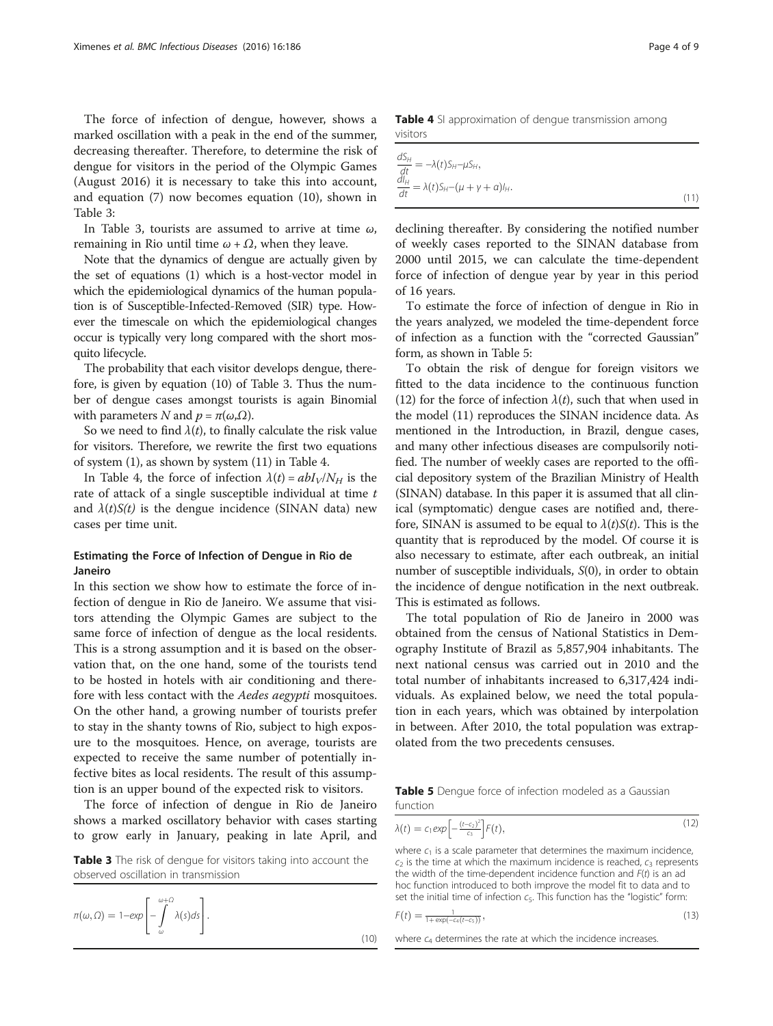The force of infection of dengue, however, shows a marked oscillation with a peak in the end of the summer, decreasing thereafter. Therefore, to determine the risk of dengue for visitors in the period of the Olympic Games (August 2016) it is necessary to take this into account, and equation (7) now becomes equation (10), shown in Table 3:

In Table 3, tourists are assumed to arrive at time  $\omega$ , remaining in Rio until time  $\omega + \Omega$ , when they leave.

Note that the dynamics of dengue are actually given by the set of equations (1) which is a host-vector model in which the epidemiological dynamics of the human population is of Susceptible-Infected-Removed (SIR) type. However the timescale on which the epidemiological changes occur is typically very long compared with the short mosquito lifecycle.

The probability that each visitor develops dengue, therefore, is given by equation (10) of Table 3. Thus the number of dengue cases amongst tourists is again Binomial with parameters N and  $p = \pi(\omega, \Omega)$ .

So we need to find  $\lambda(t)$ , to finally calculate the risk value for visitors. Therefore, we rewrite the first two equations of system (1), as shown by system (11) in Table 4.

In Table 4, the force of infection  $\lambda(t) = abI_V/N_H$  is the rate of attack of a single susceptible individual at time  $t$ and  $\lambda(t)S(t)$  is the dengue incidence (SINAN data) new cases per time unit.

# Estimating the Force of Infection of Dengue in Rio de Janeiro

In this section we show how to estimate the force of infection of dengue in Rio de Janeiro. We assume that visitors attending the Olympic Games are subject to the same force of infection of dengue as the local residents. This is a strong assumption and it is based on the observation that, on the one hand, some of the tourists tend to be hosted in hotels with air conditioning and therefore with less contact with the Aedes aegypti mosquitoes. On the other hand, a growing number of tourists prefer to stay in the shanty towns of Rio, subject to high exposure to the mosquitoes. Hence, on average, tourists are expected to receive the same number of potentially infective bites as local residents. The result of this assumption is an upper bound of the expected risk to visitors.

The force of infection of dengue in Rio de Janeiro shows a marked oscillatory behavior with cases starting to grow early in January, peaking in late April, and

Table 3 The risk of dengue for visitors taking into account the observed oscillation in transmission

$$
\pi(\omega,\Omega) = 1 - \exp\left[-\int_{\omega}^{\omega+\Omega} \lambda(s)ds\right].
$$
\n(10)

Table 4 SI approximation of dengue transmission among visitors

$$
\frac{dS_H}{dt} = -\lambda(t)S_H - \mu S_H,
$$
\n
$$
\frac{dI_H}{dt} = \lambda(t)S_H - (\mu + \gamma + a)I_H.
$$
\n(11)

declining thereafter. By considering the notified number of weekly cases reported to the SINAN database from 2000 until 2015, we can calculate the time-dependent force of infection of dengue year by year in this period of 16 years.

To estimate the force of infection of dengue in Rio in the years analyzed, we modeled the time-dependent force of infection as a function with the "corrected Gaussian" form, as shown in Table 5:

To obtain the risk of dengue for foreign visitors we fitted to the data incidence to the continuous function (12) for the force of infection  $\lambda(t)$ , such that when used in the model (11) reproduces the SINAN incidence data. As mentioned in the Introduction, in Brazil, dengue cases, and many other infectious diseases are compulsorily notified. The number of weekly cases are reported to the official depository system of the Brazilian Ministry of Health (SINAN) database. In this paper it is assumed that all clinical (symptomatic) dengue cases are notified and, therefore, SINAN is assumed to be equal to  $\lambda(t)S(t)$ . This is the quantity that is reproduced by the model. Of course it is also necessary to estimate, after each outbreak, an initial number of susceptible individuals,  $S(0)$ , in order to obtain the incidence of dengue notification in the next outbreak. This is estimated as follows.

The total population of Rio de Janeiro in 2000 was obtained from the census of National Statistics in Demography Institute of Brazil as 5,857,904 inhabitants. The next national census was carried out in 2010 and the total number of inhabitants increased to 6,317,424 individuals. As explained below, we need the total population in each years, which was obtained by interpolation in between. After 2010, the total population was extrapolated from the two precedents censuses.

Table 5 Dengue force of infection modeled as a Gaussian function

$$
\lambda(t) = c_1 \exp\left[-\frac{(t-c_2)^2}{c_3}\right] F(t),\tag{12}
$$

where  $c_1$  is a scale parameter that determines the maximum incidence,  $c_2$  is the time at which the maximum incidence is reached,  $c_3$  represents the width of the time-dependent incidence function and  $F(t)$  is an ad hoc function introduced to both improve the model fit to data and to set the initial time of infection  $c_5$ . This function has the "logistic" form:

$$
F(t) = \frac{1}{1 + \exp(-c_4(t - c_5))},\tag{13}
$$

where  $c_4$  determines the rate at which the incidence increases.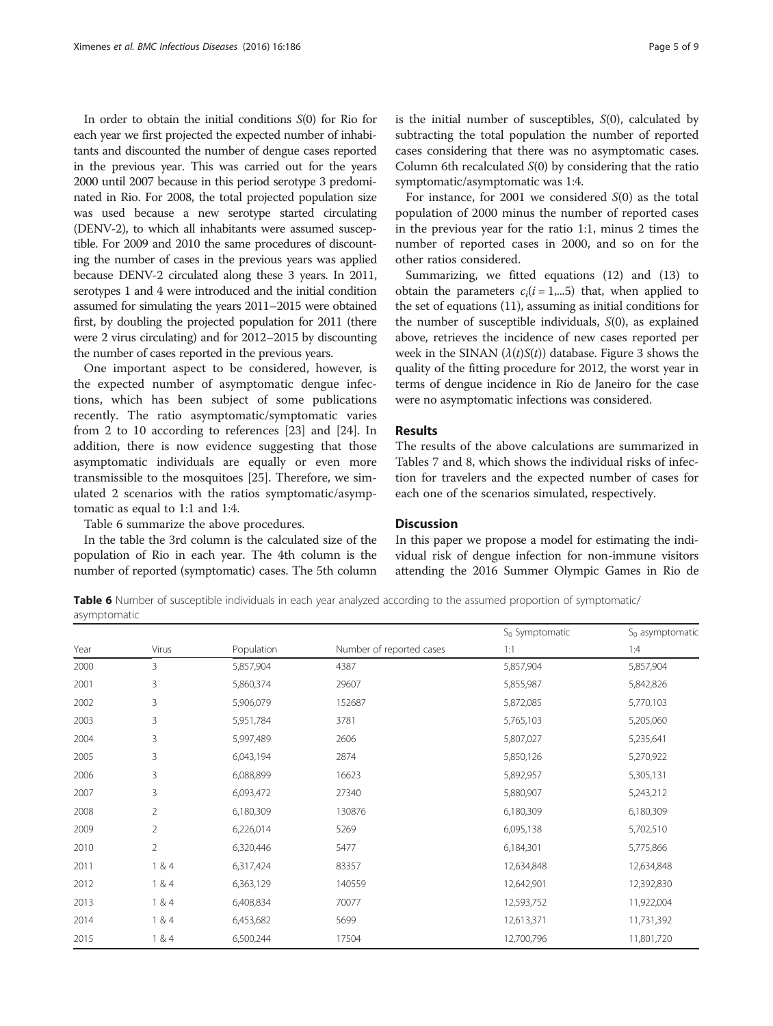In order to obtain the initial conditions S(0) for Rio for each year we first projected the expected number of inhabitants and discounted the number of dengue cases reported in the previous year. This was carried out for the years 2000 until 2007 because in this period serotype 3 predominated in Rio. For 2008, the total projected population size was used because a new serotype started circulating (DENV-2), to which all inhabitants were assumed susceptible. For 2009 and 2010 the same procedures of discounting the number of cases in the previous years was applied because DENV-2 circulated along these 3 years. In 2011, serotypes 1 and 4 were introduced and the initial condition assumed for simulating the years 2011–2015 were obtained first, by doubling the projected population for 2011 (there were 2 virus circulating) and for 2012–2015 by discounting the number of cases reported in the previous years.

One important aspect to be considered, however, is the expected number of asymptomatic dengue infections, which has been subject of some publications recently. The ratio asymptomatic/symptomatic varies from 2 to 10 according to references [[23](#page-8-0)] and [\[24](#page-8-0)]. In addition, there is now evidence suggesting that those asymptomatic individuals are equally or even more transmissible to the mosquitoes [[25\]](#page-8-0). Therefore, we simulated 2 scenarios with the ratios symptomatic/asymptomatic as equal to 1:1 and 1:4.

Table 6 summarize the above procedures.

In the table the 3rd column is the calculated size of the population of Rio in each year. The 4th column is the number of reported (symptomatic) cases. The 5th column is the initial number of susceptibles, S(0), calculated by subtracting the total population the number of reported cases considering that there was no asymptomatic cases. Column 6th recalculated  $S(0)$  by considering that the ratio symptomatic/asymptomatic was 1:4.

For instance, for 2001 we considered  $S(0)$  as the total population of 2000 minus the number of reported cases in the previous year for the ratio 1:1, minus 2 times the number of reported cases in 2000, and so on for the other ratios considered.

Summarizing, we fitted equations (12) and (13) to obtain the parameters  $c_i(i = 1,...5)$  that, when applied to the set of equations (11), assuming as initial conditions for the number of susceptible individuals, S(0), as explained above, retrieves the incidence of new cases reported per week in the SINAN  $(\lambda(t)S(t))$  database. Figure [3](#page-5-0) shows the quality of the fitting procedure for 2012, the worst year in terms of dengue incidence in Rio de Janeiro for the case were no asymptomatic infections was considered.

## Results

The results of the above calculations are summarized in Tables [7](#page-6-0) and [8,](#page-6-0) which shows the individual risks of infection for travelers and the expected number of cases for each one of the scenarios simulated, respectively.

## **Discussion**

In this paper we propose a model for estimating the individual risk of dengue infection for non-immune visitors attending the 2016 Summer Olympic Games in Rio de

Table 6 Number of susceptible individuals in each year analyzed according to the assumed proportion of symptomatic/ asymptomatic

|      |                |            |                          | $S_0$ Symptomatic | $S_0$ asymptomatic |
|------|----------------|------------|--------------------------|-------------------|--------------------|
| Year | Virus          | Population | Number of reported cases | 1:1               | 1:4                |
| 2000 | 3              | 5,857,904  | 4387                     | 5,857,904         | 5,857,904          |
| 2001 | 3              | 5,860,374  | 29607                    | 5,855,987         | 5,842,826          |
| 2002 | 3              | 5,906,079  | 152687                   | 5,872,085         |                    |
| 2003 | 3              | 5,951,784  | 3781                     | 5,765,103         | 5,205,060          |
| 2004 | 3              | 5,997,489  | 2606                     | 5,807,027         | 5,235,641          |
| 2005 | 3              | 6,043,194  | 2874                     | 5,850,126         | 5,270,922          |
| 2006 | 3              | 6,088,899  | 16623                    | 5,892,957         | 5,305,131          |
| 2007 | 3              | 6,093,472  | 27340                    | 5,880,907         | 5,243,212          |
| 2008 | $\overline{2}$ | 6,180,309  | 130876                   | 6,180,309         | 6,180,309          |
| 2009 | $\overline{2}$ | 6,226,014  | 5269                     | 6,095,138         | 5,702,510          |
| 2010 | $\overline{2}$ | 6,320,446  | 5477                     | 6,184,301         | 5,775,866          |
| 2011 | 1 & 4          | 6,317,424  | 83357                    | 12,634,848        | 12,634,848         |
| 2012 | 1 & 4          | 6,363,129  | 140559                   | 12,642,901        | 12,392,830         |
| 2013 | 1 & 4          | 6,408,834  | 70077                    | 12,593,752        | 11,922,004         |
| 2014 | 1 & 4          | 6,453,682  | 5699                     | 12,613,371        | 11,731,392         |
| 2015 | 1 & 4          | 6,500,244  | 17504                    | 12,700,796        | 11,801,720         |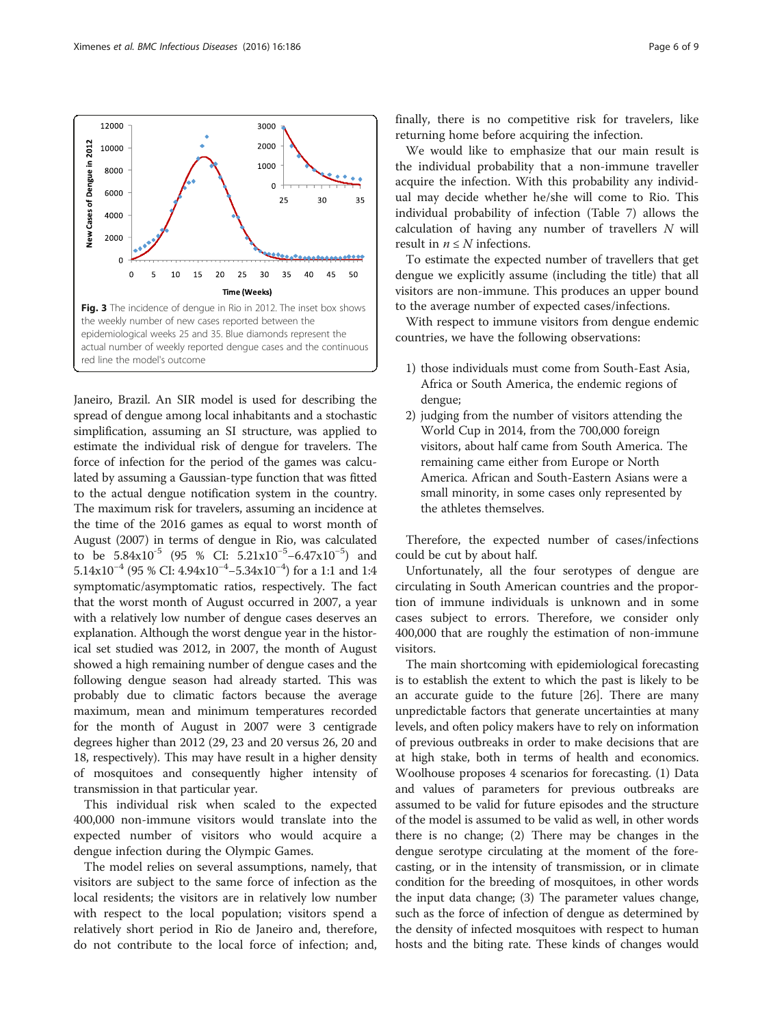Janeiro, Brazil. An SIR model is used for describing the spread of dengue among local inhabitants and a stochastic simplification, assuming an SI structure, was applied to estimate the individual risk of dengue for travelers. The force of infection for the period of the games was calculated by assuming a Gaussian-type function that was fitted to the actual dengue notification system in the country. The maximum risk for travelers, assuming an incidence at the time of the 2016 games as equal to worst month of August (2007) in terms of dengue in Rio, was calculated to be  $5.84 \times 10^{-5}$  (95 % CI:  $5.21 \times 10^{-5} - 6.47 \times 10^{-5}$ ) and 5.14x10−<sup>4</sup> (95 % CI: 4.94x10−<sup>4</sup> −5.34x10−<sup>4</sup> ) for a 1:1 and 1:4 symptomatic/asymptomatic ratios, respectively. The fact that the worst month of August occurred in 2007, a year with a relatively low number of dengue cases deserves an explanation. Although the worst dengue year in the historical set studied was 2012, in 2007, the month of August showed a high remaining number of dengue cases and the following dengue season had already started. This was probably due to climatic factors because the average maximum, mean and minimum temperatures recorded for the month of August in 2007 were 3 centigrade degrees higher than 2012 (29, 23 and 20 versus 26, 20 and 18, respectively). This may have result in a higher density of mosquitoes and consequently higher intensity of

This individual risk when scaled to the expected 400,000 non-immune visitors would translate into the expected number of visitors who would acquire a dengue infection during the Olympic Games.

transmission in that particular year.

The model relies on several assumptions, namely, that visitors are subject to the same force of infection as the local residents; the visitors are in relatively low number with respect to the local population; visitors spend a relatively short period in Rio de Janeiro and, therefore, do not contribute to the local force of infection; and, finally, there is no competitive risk for travelers, like returning home before acquiring the infection.

We would like to emphasize that our main result is the individual probability that a non-immune traveller acquire the infection. With this probability any individual may decide whether he/she will come to Rio. This individual probability of infection (Table [7\)](#page-6-0) allows the calculation of having any number of travellers N will result in  $n \leq N$  infections.

To estimate the expected number of travellers that get dengue we explicitly assume (including the title) that all visitors are non-immune. This produces an upper bound to the average number of expected cases/infections.

With respect to immune visitors from dengue endemic countries, we have the following observations:

- 1) those individuals must come from South-East Asia, Africa or South America, the endemic regions of dengue;
- 2) judging from the number of visitors attending the World Cup in 2014, from the 700,000 foreign visitors, about half came from South America. The remaining came either from Europe or North America. African and South-Eastern Asians were a small minority, in some cases only represented by the athletes themselves.

Therefore, the expected number of cases/infections could be cut by about half.

Unfortunately, all the four serotypes of dengue are circulating in South American countries and the proportion of immune individuals is unknown and in some cases subject to errors. Therefore, we consider only 400,000 that are roughly the estimation of non-immune visitors.

The main shortcoming with epidemiological forecasting is to establish the extent to which the past is likely to be an accurate guide to the future [[26](#page-8-0)]. There are many unpredictable factors that generate uncertainties at many levels, and often policy makers have to rely on information of previous outbreaks in order to make decisions that are at high stake, both in terms of health and economics. Woolhouse proposes 4 scenarios for forecasting. (1) Data and values of parameters for previous outbreaks are assumed to be valid for future episodes and the structure of the model is assumed to be valid as well, in other words there is no change; (2) There may be changes in the dengue serotype circulating at the moment of the forecasting, or in the intensity of transmission, or in climate condition for the breeding of mosquitoes, in other words the input data change; (3) The parameter values change, such as the force of infection of dengue as determined by the density of infected mosquitoes with respect to human hosts and the biting rate. These kinds of changes would

<span id="page-5-0"></span>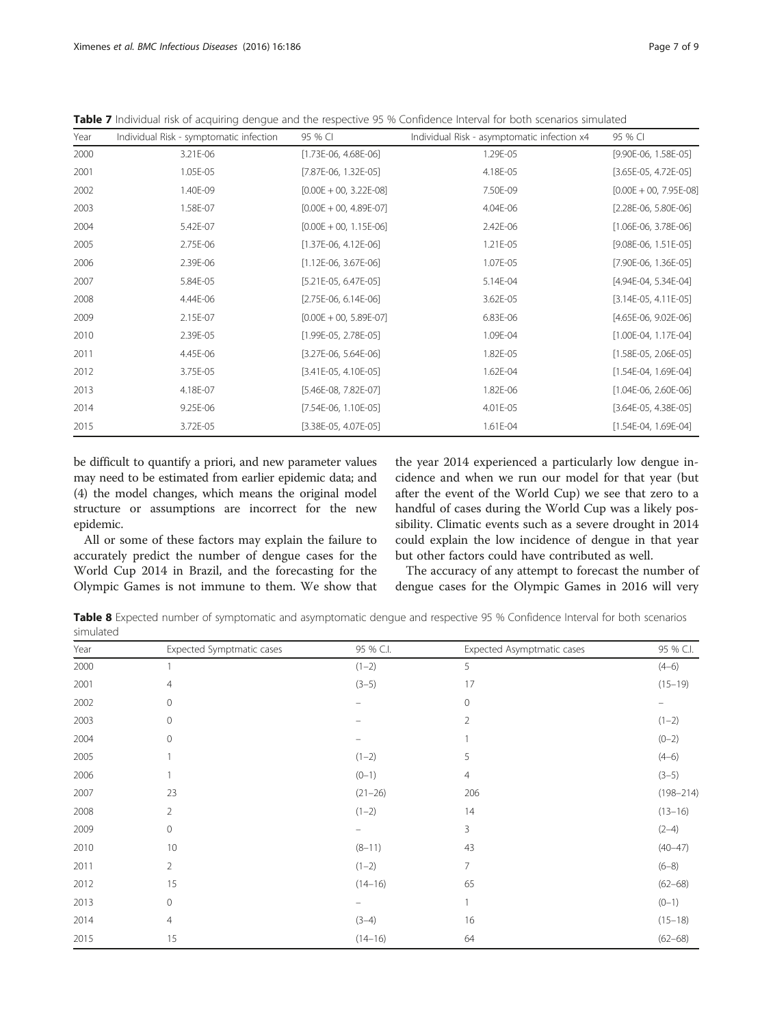<span id="page-6-0"></span>Table 7 Individual risk of acquiring dengue and the respective 95 % Confidence Interval for both scenarios simulated

| Year | Individual Risk - symptomatic infection | 95 % CI                    | Individual Risk - asymptomatic infection x4 | 95 % CI                    |
|------|-----------------------------------------|----------------------------|---------------------------------------------|----------------------------|
| 2000 | 3.21E-06                                | $[1.73E-06, 4.68E-06]$     | 1.29E-05                                    | $[9.90E-06, 1.58E-05]$     |
| 2001 | 1.05E-05                                | $[7.87E-06, 1.32E-05]$     | 4.18E-05                                    | $[3.65E-05, 4.72E-05]$     |
| 2002 | 1.40E-09                                | $[0.00E + 00, 3.22E-08]$   | 7.50E-09                                    | $[0.00E + 00, 7.95E - 08]$ |
| 2003 | 1.58E-07                                | $[0.00E + 00, 4.89E-07]$   | 4.04E-06                                    | $[2.28E-06, 5.80E-06]$     |
| 2004 | 5.42E-07                                | $[0.00E + 00, 1.15E-06]$   | 2.42E-06                                    | $[1.06E-06, 3.78E-06]$     |
| 2005 | 2.75E-06                                | $[1.37E-06, 4.12E-06]$     | 1.21E-05                                    | $[9.08E-06, 1.51E-05]$     |
| 2006 | 2.39E-06                                | $[1.12E-06, 3.67E-06]$     | 1.07E-05                                    | $[7.90E-06, 1.36E-05]$     |
| 2007 | 5.84E-05                                | $[5.21E-05, 6.47E-05]$     | 5.14E-04                                    | $[4.94E-04, 5.34E-04]$     |
| 2008 | 4.44E-06                                | $[2.75E-06, 6.14E-06]$     | 3.62E-05                                    | $[3.14E-05, 4.11E-05]$     |
| 2009 | 2.15E-07                                | $[0.00E + 00, 5.89E - 07]$ | 6.83E-06                                    | $[4.65E-06, 9.02E-06]$     |
| 2010 | 2.39E-05                                | $[1.99E-05, 2.78E-05]$     | 1.09E-04                                    | $[1.00E-04, 1.17E-04]$     |
| 2011 | 4.45E-06                                | $[3.27E-06, 5.64E-06]$     | 1.82E-05                                    | $[1.58E-05, 2.06E-05]$     |
| 2012 | 3.75E-05                                | $[3.41E-05, 4.10E-05]$     | 1.62E-04                                    | $[1.54E-04, 1.69E-04]$     |
| 2013 | 4.18E-07                                | $[5.46E-08, 7.82E-07]$     | 1.82E-06                                    | $[1.04E-06, 2.60E-06]$     |
| 2014 | 9.25E-06                                | $[7.54E-06, 1.10E-05]$     | 4.01E-05                                    | $[3.64E-05, 4.38E-05]$     |
| 2015 | 3.72E-05                                | $[3.38E-05, 4.07E-05]$     | 1.61E-04                                    | $[1.54E-04, 1.69E-04]$     |

be difficult to quantify a priori, and new parameter values may need to be estimated from earlier epidemic data; and (4) the model changes, which means the original model structure or assumptions are incorrect for the new epidemic.

All or some of these factors may explain the failure to accurately predict the number of dengue cases for the World Cup 2014 in Brazil, and the forecasting for the Olympic Games is not immune to them. We show that the year 2014 experienced a particularly low dengue incidence and when we run our model for that year (but after the event of the World Cup) we see that zero to a handful of cases during the World Cup was a likely possibility. Climatic events such as a severe drought in 2014 could explain the low incidence of dengue in that year but other factors could have contributed as well.

The accuracy of any attempt to forecast the number of dengue cases for the Olympic Games in 2016 will very

Table 8 Expected number of symptomatic and asymptomatic dengue and respective 95 % Confidence Interval for both scenarios simulated

| Year | Expected Symptmatic cases | 95 % C.I.                      | Expected Asymptmatic cases | 95 % C.I.     |
|------|---------------------------|--------------------------------|----------------------------|---------------|
| 2000 |                           | $(1-2)$                        | 5                          | $(4-6)$       |
| 2001 | $\overline{4}$            | $(3-5)$                        | 17                         | $(15 - 19)$   |
| 2002 | $\mathbf{0}$              |                                | 0                          |               |
| 2003 | $\mathbf 0$               |                                | 2                          | $(1 - 2)$     |
| 2004 | $\mathbf{0}$              |                                |                            | $(0 - 2)$     |
| 2005 |                           | $(1-2)$                        | 5                          | $(4-6)$       |
| 2006 |                           | $(0-1)$                        | 4                          | $(3-5)$       |
| 2007 | 23                        | $(21 - 26)$                    | 206                        | $(198 - 214)$ |
| 2008 | $\overline{2}$            | $(1-2)$                        | 14                         | $(13 - 16)$   |
| 2009 | $\circ$                   | $\qquad \qquad \longleftarrow$ | 3                          | $(2-4)$       |
| 2010 | 10                        | $(8-11)$                       | 43                         | $(40 - 47)$   |
| 2011 | $\overline{2}$            | $(1-2)$                        | 7                          | $(6 - 8)$     |
| 2012 | 15                        | $(14 - 16)$                    | 65                         | $(62 - 68)$   |
| 2013 | $\circ$                   |                                | 1                          | $(0-1)$       |
| 2014 | $\overline{4}$            | $(3-4)$                        | 16                         | $(15 - 18)$   |
| 2015 | 15                        | $(14 - 16)$                    | 64                         | $(62 - 68)$   |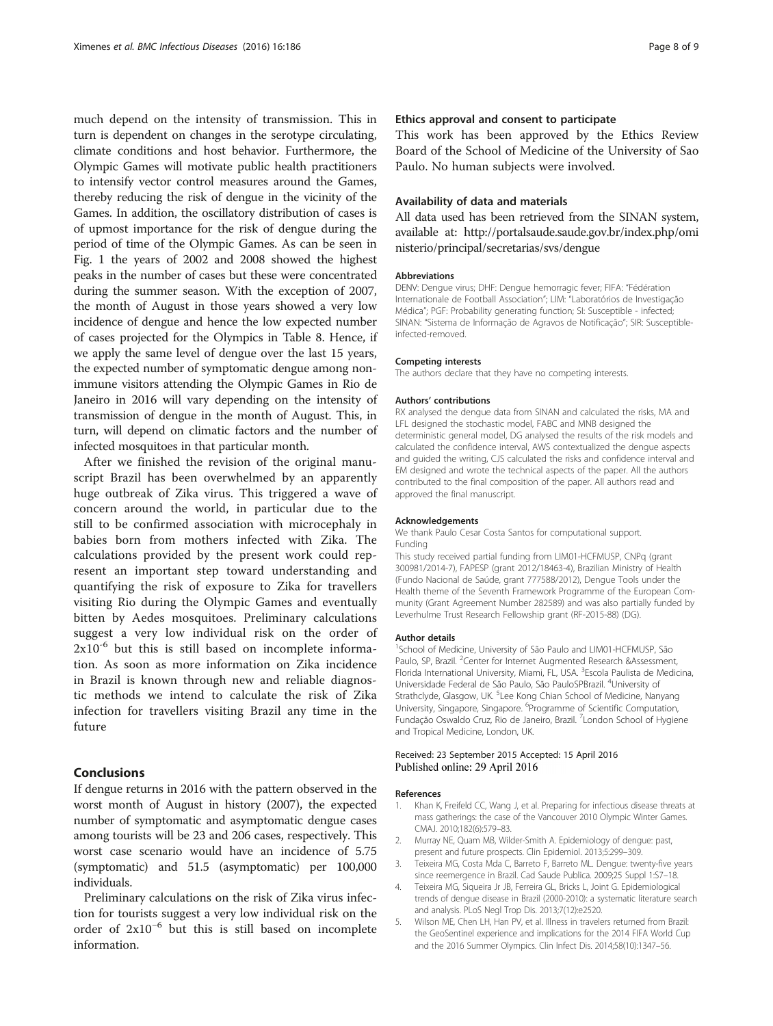<span id="page-7-0"></span>much depend on the intensity of transmission. This in turn is dependent on changes in the serotype circulating, climate conditions and host behavior. Furthermore, the Olympic Games will motivate public health practitioners to intensify vector control measures around the Games, thereby reducing the risk of dengue in the vicinity of the Games. In addition, the oscillatory distribution of cases is of upmost importance for the risk of dengue during the period of time of the Olympic Games. As can be seen in Fig. [1](#page-1-0) the years of 2002 and 2008 showed the highest peaks in the number of cases but these were concentrated during the summer season. With the exception of 2007, the month of August in those years showed a very low incidence of dengue and hence the low expected number of cases projected for the Olympics in Table [8](#page-6-0). Hence, if we apply the same level of dengue over the last 15 years, the expected number of symptomatic dengue among nonimmune visitors attending the Olympic Games in Rio de Janeiro in 2016 will vary depending on the intensity of transmission of dengue in the month of August. This, in turn, will depend on climatic factors and the number of infected mosquitoes in that particular month.

After we finished the revision of the original manuscript Brazil has been overwhelmed by an apparently huge outbreak of Zika virus. This triggered a wave of concern around the world, in particular due to the still to be confirmed association with microcephaly in babies born from mothers infected with Zika. The calculations provided by the present work could represent an important step toward understanding and quantifying the risk of exposure to Zika for travellers visiting Rio during the Olympic Games and eventually bitten by Aedes mosquitoes. Preliminary calculations suggest a very low individual risk on the order of  $2x10^{-6}$  but this is still based on incomplete information. As soon as more information on Zika incidence in Brazil is known through new and reliable diagnostic methods we intend to calculate the risk of Zika infection for travellers visiting Brazil any time in the future

# Conclusions

If dengue returns in 2016 with the pattern observed in the worst month of August in history (2007), the expected number of symptomatic and asymptomatic dengue cases among tourists will be 23 and 206 cases, respectively. This worst case scenario would have an incidence of 5.75 (symptomatic) and 51.5 (asymptomatic) per 100,000 individuals.

Preliminary calculations on the risk of Zika virus infection for tourists suggest a very low individual risk on the order of 2x10−<sup>6</sup> but this is still based on incomplete information.

#### Ethics approval and consent to participate

This work has been approved by the Ethics Review Board of the School of Medicine of the University of Sao Paulo. No human subjects were involved.

#### Availability of data and materials

All data used has been retrieved from the SINAN system, available at: [http://portalsaude.saude.gov.br/index.php/omi](http://portalsaude.saude.gov.br/index.php/oministerio/principal/secretarias/svs/dengue) [nisterio/principal/secretarias/svs/dengue](http://portalsaude.saude.gov.br/index.php/oministerio/principal/secretarias/svs/dengue)

#### Abbreviations

DENV: Dengue virus; DHF: Dengue hemorragic fever; FIFA: "Fédération Internationale de Football Association"; LIM: "Laboratórios de Investigação Médica"; PGF: Probability generating function; SI: Susceptible - infected; SINAN: "Sistema de Informação de Agravos de Notificação"; SIR: Susceptibleinfected-removed.

#### Competing interests

The authors declare that they have no competing interests.

#### Authors' contributions

RX analysed the dengue data from SINAN and calculated the risks, MA and LFL designed the stochastic model, FABC and MNB designed the deterministic general model, DG analysed the results of the risk models and calculated the confidence interval, AWS contextualized the dengue aspects and guided the writing, CJS calculated the risks and confidence interval and EM designed and wrote the technical aspects of the paper. All the authors contributed to the final composition of the paper. All authors read and approved the final manuscript.

#### Acknowledgements

We thank Paulo Cesar Costa Santos for computational support. Funding

This study received partial funding from LIM01-HCFMUSP, CNPq (grant 300981/2014-7), FAPESP (grant 2012/18463-4), Brazilian Ministry of Health (Fundo Nacional de Saúde, grant 777588/2012), Dengue Tools under the Health theme of the Seventh Framework Programme of the European Community (Grant Agreement Number 282589) and was also partially funded by Leverhulme Trust Research Fellowship grant (RF-2015-88) (DG).

#### Author details

<sup>1</sup>School of Medicine, University of São Paulo and LIM01-HCFMUSP, São Paulo, SP, Brazil. <sup>2</sup>Center for Internet Augmented Research &Assessment, Florida International University, Miami, FL, USA. <sup>3</sup>Escola Paulista de Medicina Universidade Federal de São Paulo, São PauloSPBrazil. <sup>4</sup>University of Strathclyde, Glasgow, UK. <sup>5</sup>Lee Kong Chian School of Medicine, Nanyang University, Singapore, Singapore. <sup>6</sup>Programme of Scientific Computation Fundação Oswaldo Cruz, Rio de Janeiro, Brazil. <sup>7</sup> London School of Hygiene and Tropical Medicine, London, UK.

#### Received: 23 September 2015 Accepted: 15 April 2016 Published online: 29 April 2016

#### References

- Khan K, Freifeld CC, Wang J, et al. Preparing for infectious disease threats at mass gatherings: the case of the Vancouver 2010 Olympic Winter Games. CMAJ. 2010;182(6):579–83.
- 2. Murray NE, Quam MB, Wilder-Smith A. Epidemiology of dengue: past, present and future prospects. Clin Epidemiol. 2013;5:299–309.
- 3. Teixeira MG, Costa Mda C, Barreto F, Barreto ML. Dengue: twenty-five years since reemergence in Brazil. Cad Saude Publica. 2009;25 Suppl 1:S7–18.
- 4. Teixeira MG, Siqueira Jr JB, Ferreira GL, Bricks L, Joint G. Epidemiological trends of dengue disease in Brazil (2000-2010): a systematic literature search and analysis. PLoS Negl Trop Dis. 2013;7(12):e2520.
- 5. Wilson ME, Chen LH, Han PV, et al. Illness in travelers returned from Brazil: the GeoSentinel experience and implications for the 2014 FIFA World Cup and the 2016 Summer Olympics. Clin Infect Dis. 2014;58(10):1347–56.